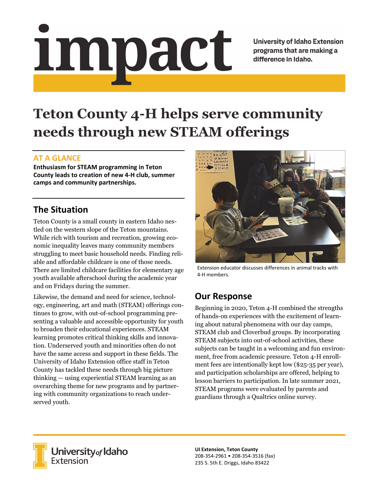# Impact

**University of Idaho Extension** programs that are making a difference in Idaho.

# **Teton County 4-H helps serve community needs through new STEAM offerings**

#### **AT A GLANCE**

**Enthusiasm for STEAM programming in Teton County leads to creation of new 4‐H club, summer camps and community partnerships.**

## **The Situation**

Teton County is a small county in eastern Idaho nestled on the western slope of the Teton mountains. While rich with tourism and recreation, growing economic inequality leaves many community members struggling to meet basic household needs. Finding reliable and affordable childcare is one of those needs. There are limited childcare facilities for elementary age youth available afterschool during the academic year and on Fridays during the summer.

Likewise, the demand and need for science, technology, engineering, art and math (STEAM) offerings continues to grow, with out-of-school programming presenting a valuable and accessible opportunity for youth to broaden their educational experiences. STEAM learning promotes critical thinking skills and innovation. Underserved youth and minorities often do not have the same access and support in these fields. The University of Idaho Extension office staff in Teton County has tackled these needs through big picture thinking — using experiential STEAM learning as an overarching theme for new programs and by partnering with community organizations to reach underserved youth.



Extension educator discusses differences in animal tracks with 4‐H members.

## **Our Response**

Beginning in 2020, Teton 4-H combined the strengths of hands-on experiences with the excitement of learning about natural phenomena with our day camps, STEAM club and Cloverbud groups. By incorporating STEAM subjects into out-of-school activities, these subjects can be taught in a welcoming and fun environment, free from academic pressure. Teton 4-H enrollment fees are intentionally kept low (\$25-35 per year), and participation scholarships are offered, helping to lesson barriers to participation. In late summer 2021, STEAM programs were evaluated by parents and guardians through a Qualtrics online survey.



**University** of Idaho<br>Extension

**UI Extension, Teton County** 208‐354‐2961 • 208‐354‐3516 (fax) 235 S. 5th E. Driggs, Idaho 83422